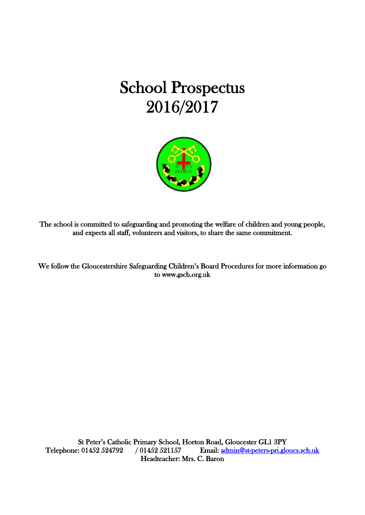# School Prospectus 2016/2017



The school is committed to safeguarding and promoting the welfare of children and young people, and expects all staff, volunteers and visitors, to share the same commitment.

We follow the Gloucestershire Safeguarding Children's Board Procedures for more information go to www.gscb.org.uk

St Peter's Catholic Primary School, Horton Road, Gloucester GL1 3PY Telephone: 01452 524792 / 01452 521157 Email: admin@st-peters-pri.gloucs.sch.uk Headteacher: Mrs. C. Baron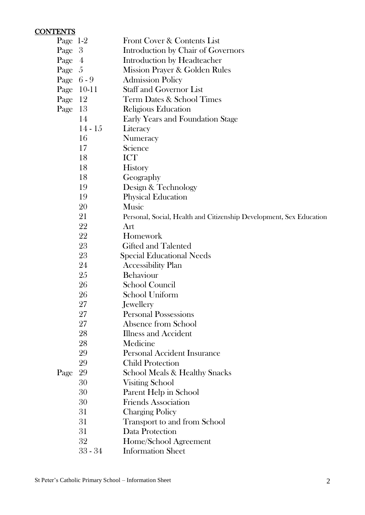#### CONTENTS

| Page $1-2$ |                  | Front Cover & Contents List                                         |
|------------|------------------|---------------------------------------------------------------------|
| Page       | 3                | Introduction by Chair of Governors                                  |
| Page       | $\boldsymbol{4}$ | Introduction by Headteacher                                         |
| Page       | -5               | Mission Prayer & Golden Rules                                       |
| Page $6-9$ |                  | <b>Admission Policy</b>                                             |
| Page       | $10-11$          | <b>Staff and Governor List</b>                                      |
| Page       | 12               | <b>Term Dates &amp; School Times</b>                                |
| Page       | 13               | Religious Education                                                 |
|            | 14               | <b>Early Years and Foundation Stage</b>                             |
|            | $14 - 15$        | Literacy                                                            |
|            | 16               | Numeracy                                                            |
|            | 17               | Science                                                             |
|            | 18               | <b>ICT</b>                                                          |
|            | 18               | <b>History</b>                                                      |
|            | 18               | Geography                                                           |
|            | 19               | Design & Technology                                                 |
|            | 19               | <b>Physical Education</b>                                           |
|            | 20               | Music                                                               |
|            | 21               | Personal, Social, Health and Citizenship Development, Sex Education |
|            | 22               | Art                                                                 |
|            | 22               | Homework                                                            |
|            | 23               | <b>Gifted and Talented</b>                                          |
|            | 23               | <b>Special Educational Needs</b>                                    |
|            | 24               | <b>Accessibility Plan</b>                                           |
|            | 25               | Behaviour                                                           |
|            | 26               | School Council                                                      |
|            | 26               | School Uniform                                                      |
|            | 27               | Jewellery                                                           |
|            | 27               | <b>Personal Possessions</b>                                         |
|            | 27               | Absence from School                                                 |
|            | 28               | <b>Illness and Accident</b>                                         |
|            | 28               | Medicine                                                            |
|            | 29               | <b>Personal Accident Insurance</b>                                  |
|            | 29               | <b>Child Protection</b>                                             |
| Page       | 29               | School Meals & Healthy Snacks                                       |
|            | 30               | <b>Visiting School</b>                                              |
|            | 30               | Parent Help in School                                               |
|            | 30               | <b>Friends Association</b>                                          |
|            | 31               | <b>Charging Policy</b>                                              |
|            | 31               | Transport to and from School                                        |
|            | 31               | Data Protection                                                     |
|            | 32               | Home/School Agreement                                               |
|            | $33 - 34$        | <b>Information Sheet</b>                                            |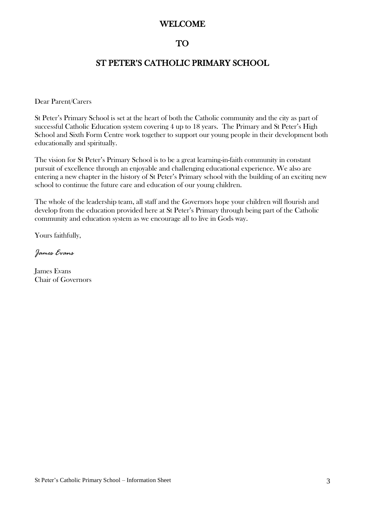#### WELCOME

#### TO

#### ST PETER'S CATHOLIC PRIMARY SCHOOL

Dear Parent/Carers

St Peter's Primary School is set at the heart of both the Catholic community and the city as part of successful Catholic Education system covering 4 up to 18 years. The Primary and St Peter's High School and Sixth Form Centre work together to support our young people in their development both educationally and spiritually.

The vision for St Peter's Primary School is to be a great learning-in-faith community in constant pursuit of excellence through an enjoyable and challenging educational experience. We also are entering a new chapter in the history of St Peter's Primary school with the building of an exciting new school to continue the future care and education of our young children.

The whole of the leadership team, all staff and the Governors hope your children will flourish and develop from the education provided here at St Peter's Primary through being part of the Catholic community and education system as we encourage all to live in Gods way.

Yours faithfully,

*James Evans*

James Evans Chair of Governors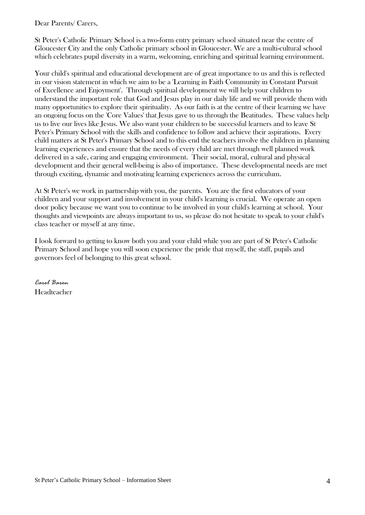Dear Parents/ Carers,

St Peter's Catholic Primary School is a two-form entry primary school situated near the centre of Gloucester City and the only Catholic primary school in Gloucester. We are a multi-cultural school which celebrates pupil diversity in a warm, welcoming, enriching and spiritual learning environment.

Your child's spiritual and educational development are of great importance to us and this is reflected in our vision statement in which we aim to be a 'Learning in Faith Community in Constant Pursuit of Excellence and Enjoyment'. Through spiritual development we will help your children to understand the important role that God and Jesus play in our daily life and we will provide them with many opportunities to explore their spirituality. As our faith is at the centre of their learning we have an ongoing focus on the 'Core Values' that Jesus gave to us through the Beatitudes. These values help us to live our lives like Jesus. We also want your children to be successful learners and to leave St Peter's Primary School with the skills and confidence to follow and achieve their aspirations. Every child matters at St Peter's Primary School and to this end the teachers involve the children in planning learning experiences and ensure that the needs of every child are met through well planned work delivered in a safe, caring and engaging environment. Their social, moral, cultural and physical development and their general well-being is also of importance. These developmental needs are met through exciting, dynamic and motivating learning experiences across the curriculum.

At St Peter's we work in partnership with you, the parents. You are the first educators of your children and your support and involvement in your child's learning is crucial. We operate an open door policy because we want you to continue to be involved in your child's learning at school. Your thoughts and viewpoints are always important to us, so please do not hesitate to speak to your child's class teacher or myself at any time.

I look forward to getting to know both you and your child while you are part of St Peter's Catholic Primary School and hope you will soon experience the pride that myself, the staff, pupils and governors feel of belonging to this great school.

*Carol Baron* Headteacher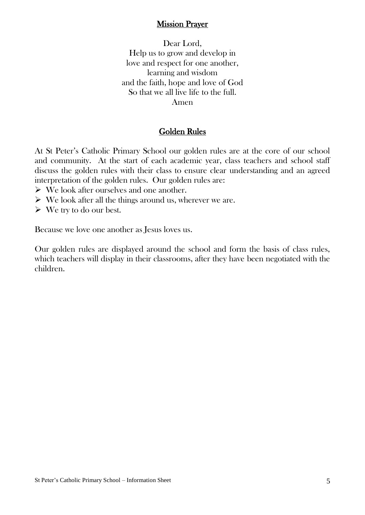#### Mission Prayer

Dear Lord, Help us to grow and develop in love and respect for one another, learning and wisdom and the faith, hope and love of God So that we all live life to the full. Amen

#### Golden Rules

At St Peter's Catholic Primary School our golden rules are at the core of our school and community. At the start of each academic year, class teachers and school staff discuss the golden rules with their class to ensure clear understanding and an agreed interpretation of the golden rules. Our golden rules are:

- $\triangleright$  We look after ourselves and one another.
- $\triangleright$  We look after all the things around us, wherever we are.
- $\triangleright$  We try to do our best.

Because we love one another as Jesus loves us.

Our golden rules are displayed around the school and form the basis of class rules, which teachers will display in their classrooms, after they have been negotiated with the children.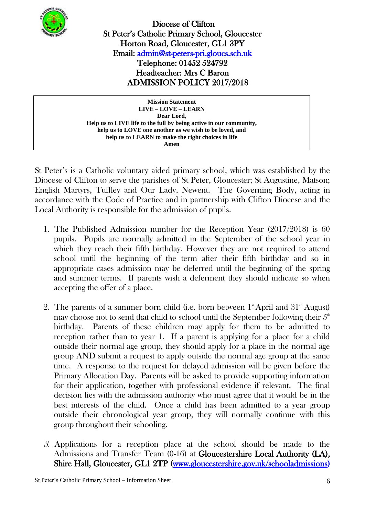

 Diocese of Clifton St Peter's Catholic Primary School, Gloucester Horton Road, Gloucester, GL1 3PY Email: [admin@st-peters-pri.gloucs.sch.uk](mailto:admin@st-peters-pri.gloucs.sch.uk)  Telephone: 01452 524792 Headteacher: Mrs C Baron ADMISSION POLICY 2017/2018

**Mission Statement LIVE – LOVE – LEARN Dear Lord, Help us to LIVE life to the full by being active in our community, help us to LOVE one another as we wish to be loved, and help us to LEARN to make the right choices in life Amen**

St Peter's is a Catholic voluntary aided primary school, which was established by the Diocese of Clifton to serve the parishes of St Peter, Gloucester; St Augustine, Matson; English Martyrs, Tuffley and Our Lady, Newent. The Governing Body, acting in accordance with the Code of Practice and in partnership with Clifton Diocese and the Local Authority is responsible for the admission of pupils.

- 1. The Published Admission number for the Reception Year (2017/2018) is 60 pupils. Pupils are normally admitted in the September of the school year in which they reach their fifth birthday. However they are not required to attend school until the beginning of the term after their fifth birthday and so in appropriate cases admission may be deferred until the beginning of the spring and summer terms. If parents wish a deferment they should indicate so when accepting the offer of a place.
- 2. The parents of a summer born child (i.e. born between  $1^*$  April and  $31^*$  August) may choose not to send that child to school until the September following their  $5<sup>th</sup>$ birthday. Parents of these children may apply for them to be admitted to reception rather than to year 1. If a parent is applying for a place for a child outside their normal age group, they should apply for a place in the normal age group AND submit a request to apply outside the normal age group at the same time. A response to the request for delayed admission will be given before the Primary Allocation Day. Parents will be asked to provide supporting information for their application, together with professional evidence if relevant. The final decision lies with the admission authority who must agree that it would be in the best interests of the child. Once a child has been admitted to a year group outside their chronological year group, they will normally continue with this group throughout their schooling.
- 3. Applications for a reception place at the school should be made to the Admissions and Transfer Team (0-16) at Gloucestershire Local Authority (LA), Shire Hall, Gloucester, GL1 2TP [\(www.gloucestershire.gov.uk/schooladmissions\)](http://www.gloucestershire.gov.uk/schooladmissions)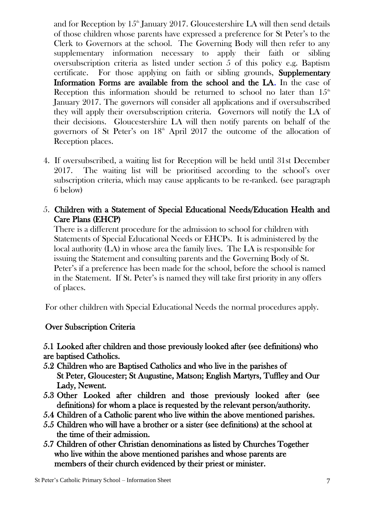and for Reception by  $15<sup>th</sup>$  January 2017. Gloucestershire LA will then send details of those children whose parents have expressed a preference for St Peter's to the Clerk to Governors at the school. The Governing Body will then refer to any supplementary information necessary to apply their faith or sibling oversubscription criteria as listed under section 5 of this policy e.g. Baptism certificate. For those applying on faith or sibling grounds, Supplementary Information Forms are available from the school and the LA. In the case of Reception this information should be returned to school no later than  $15<sup>th</sup>$ January 2017. The governors will consider all applications and if oversubscribed they will apply their oversubscription criteria. Governors will notify the LA of their decisions. Gloucestershire LA will then notify parents on behalf of the governors of St Peter's on  $18<sup>th</sup>$  April 2017 the outcome of the allocation of Reception places.

4. If oversubscribed, a waiting list for Reception will be held until 31st December 2017. The waiting list will be prioritised according to the school's over subscription criteria, which may cause applicants to be re-ranked. (see paragraph 6 below)

# 5. Children with a Statement of Special Educational Needs/Education Health and Care Plans (EHCP)

There is a different procedure for the admission to school for children with Statements of Special Educational Needs or EHCPs. It is administered by the local authority (LA) in whose area the family lives. The LA is responsible for issuing the Statement and consulting parents and the Governing Body of St. Peter's if a preference has been made for the school, before the school is named in the Statement. If St. Peter's is named they will take first priority in any offers of places.

For other children with Special Educational Needs the normal procedures apply.

# Over Subscription Criteria

5.1 Looked after children and those previously looked after (see definitions) who are baptised Catholics.

- 5.2 Children who are Baptised Catholics and who live in the parishes of St Peter, Gloucester; St Augustine, Matson; English Martyrs, Tuffley and Our Lady, Newent.
- 5.3 Other Looked after children and those previously looked after (see definitions) for whom a place is requested by the relevant person/authority.
- 5.4 Children of a Catholic parent who live within the above mentioned parishes.
- 5.5 Children who will have a brother or a sister (see definitions) at the school at the time of their admission.
- 5.7 Children of other Christian denominations as listed by Churches Together who live within the above mentioned parishes and whose parents are members of their church evidenced by their priest or minister.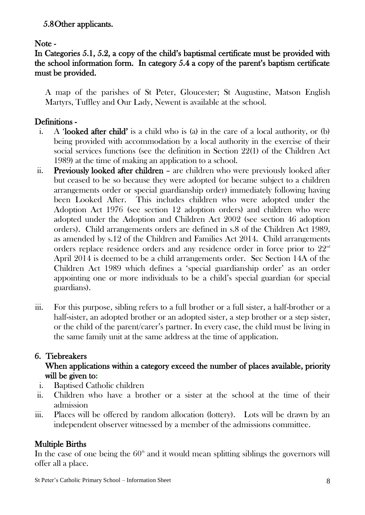# 5.8Other applicants.

#### Note -

# In Categories 5.1, 5.2, a copy of the child's baptismal certificate must be provided with the school information form. In category 5.4 a copy of the parent's baptism certificate must be provided.

A map of the parishes of St Peter, Gloucester; St Augustine, Matson English Martyrs, Tuffley and Our Lady, Newent is available at the school.

## Definitions -

- i. A 'looked after child' is a child who is (a) in the care of a local authority, or (b) being provided with accommodation by a local authority in the exercise of their social services functions (see the definition in Section 22(1) of the Children Act 1989) at the time of making an application to a school.
- ii. Previously looked after children are children who were previously looked after but ceased to be so because they were adopted (or became subject to a children arrangements order or special guardianship order) immediately following having been Looked After. This includes children who were adopted under the Adoption Act 1976 (see section 12 adoption orders) and children who were adopted under the Adoption and Children Act 2002 (see section 46 adoption orders). Child arrangements orders are defined in s.8 of the Children Act 1989, as amended by s.12 of the Children and Families Act 2014. Child arrangements orders replace residence orders and any residence order in force prior to 22<sup>nd</sup> April 2014 is deemed to be a child arrangements order. Sec Section 14A of the Children Act 1989 which defines a 'special guardianship order' as an order appointing one or more individuals to be a child's special guardian (or special guardians).
- iii. For this purpose, sibling refers to a full brother or a full sister, a half-brother or a half-sister, an adopted brother or an adopted sister, a step brother or a step sister, or the child of the parent/carer's partner. In every case, the child must be living in the same family unit at the same address at the time of application.

# 6. Tiebreakers

# When applications within a category exceed the number of places available, priority will be given to:

- i. Baptised Catholic children
- ii. Children who have a brother or a sister at the school at the time of their admission
- iii. Places will be offered by random allocation (lottery). Lots will be drawn by an independent observer witnessed by a member of the admissions committee.

# Multiple Births

In the case of one being the  $60<sup>th</sup>$  and it would mean splitting siblings the governors will offer all a place.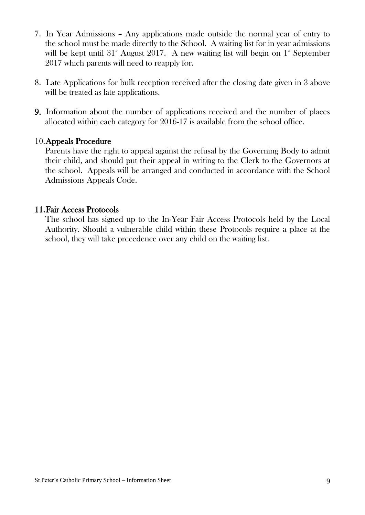- 7. In Year Admissions Any applications made outside the normal year of entry to the school must be made directly to the School. A waiting list for in year admissions will be kept until  $31^{\circ}$  August 2017. A new waiting list will begin on  $1^{\circ}$  September 2017 which parents will need to reapply for.
- 8. Late Applications for bulk reception received after the closing date given in 3 above will be treated as late applications.
- 9. Information about the number of applications received and the number of places allocated within each category for 2016-17 is available from the school office.

#### 10.Appeals Procedure

Parents have the right to appeal against the refusal by the Governing Body to admit their child, and should put their appeal in writing to the Clerk to the Governors at the school. Appeals will be arranged and conducted in accordance with the School Admissions Appeals Code.

#### 11.Fair Access Protocols

The school has signed up to the In-Year Fair Access Protocols held by the Local Authority. Should a vulnerable child within these Protocols require a place at the school, they will take precedence over any child on the waiting list.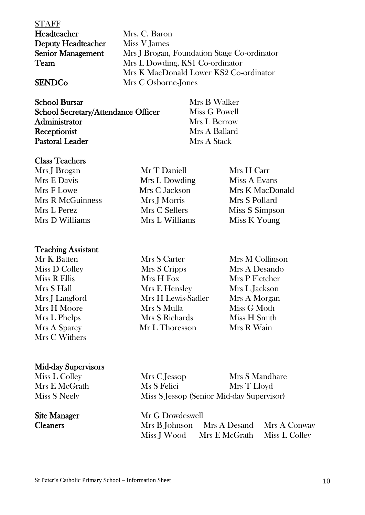| <b>STAFF</b>             |                                             |
|--------------------------|---------------------------------------------|
| Headteacher              | Mrs. C. Baron                               |
| Deputy Headteacher       | Miss V James                                |
| <b>Senior Management</b> | Mrs J Brogan, Foundation Stage Co-ordinator |
| Team                     | Mrs L Dowding, KS1 Co-ordinator             |
|                          | Mrs K MacDonald Lower KS2 Co-ordinator      |
| <b>SENDCo</b>            | Mrs C Osborne-Jones                         |

| <b>School Bursar</b>                       | Mrs B Walker  |
|--------------------------------------------|---------------|
| <b>School Secretary/Attendance Officer</b> | Miss G Powell |
| Administrator                              | Mrs L Berrow  |
| Receptionist                               | Mrs A Ballard |
| <b>Pastoral Leader</b>                     | Mrs A Stack   |

#### Class Teachers

Mrs J Brogan Mr T Daniell Mrs H Carr Mrs E Davis Mrs L Dowding Miss A Evans Mrs F Lowe Mrs C Jackson Mrs K MacDonald Mrs R McGuinness Mrs I Morris Mrs S Pollard Mrs L Perez Mrs C Sellers Miss S Simpson Mrs D Williams Mrs L Williams Miss K Young

#### Teaching Assistant

Mrs C Withers

# Mid-day Supervisors

Miss L Colley  $Mrs E M cG$ rath Miss S Neely

Mrs A Ballard **Mrs A Stack** 

Mr K Batten Mrs S Carter Mrs M Collinson Miss D Colley Mrs S Cripps Mrs A Desando Miss R Ellis Mrs H Fox Mrs P Fletcher Mrs S Hall Mrs E Hensley Mrs L Jackson Mrs J Langford Mrs H Lewis-Sadler Mrs A Morgan Mrs H Moore Mrs S Mulla Miss G Moth Mrs L Phelps Mrs S Richards Miss H Smith Mrs A Sparey Mr L Thoresson Mrs R Wain

| Mrs C Jessop | Mrs S Mandhare                            |
|--------------|-------------------------------------------|
| Ms S Felici  | Mrs T Lloyd                               |
|              | Miss S Jessop (Senior Mid-day Supervisor) |

Site Manager Mr G Dowdeswell Cleaners Mrs B Johnson Mrs A Desand Mrs A Conway Miss J Wood Mrs E McGrath Miss L Colley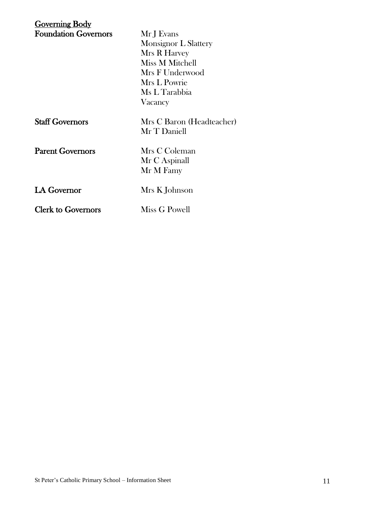| Governing Body              |                             |
|-----------------------------|-----------------------------|
| <b>Foundation Governors</b> | Mr J Evans                  |
|                             | <b>Monsignor L Slattery</b> |
|                             | Mrs R Harvey                |
|                             | Miss M Mitchell             |
|                             | Mrs F Underwood             |
|                             | Mrs L Powrie                |
|                             | Ms L Tarabbia               |
|                             | Vacancy                     |
| <b>Staff Governors</b>      | Mrs C Baron (Headteacher)   |
|                             | Mr T Daniell                |
| <b>Parent Governors</b>     | Mrs C Coleman               |
|                             | Mr C Aspinall               |
|                             | Mr M Famy                   |
| <b>LA Governor</b>          | Mrs K Johnson               |
| <b>Clerk to Governors</b>   | Miss G Powell               |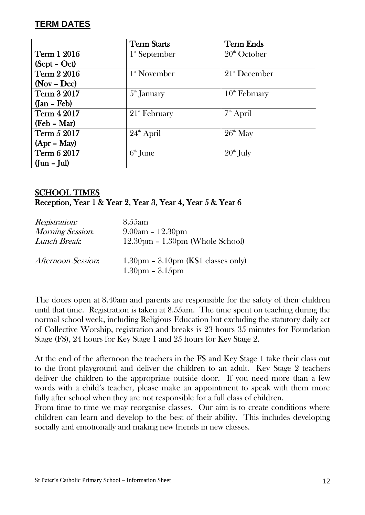## **TERM DATES**

|                           | <b>Term Starts</b>          | <b>Term Ends</b>       |
|---------------------------|-----------------------------|------------------------|
| <b>Term 1 2016</b>        | $1^{\mathrm{st}}$ September | $20th$ October         |
| $(Sept - Oct)$            |                             |                        |
| Term 2 2016               | $1^{\mathrm{st}}$ November  | $21^{\rm st}$ December |
| $(Nov - Dec)$             |                             |                        |
| Term 3 2017               | $5^{\text{th}}$ January     | $10th$ February        |
| $({\rm Jan - Feb})$       |                             |                        |
| <b>Term 4 2017</b>        | $21$ <sup>st</sup> February | $7th$ April            |
| (Feb – Mar)               |                             |                        |
| Term 5 2017               | $24^{\text{th}}$ April      | $26^{\text{th}}$ May   |
| $(Apr - May)$             |                             |                        |
| Term 6 2017               | $6th$ June                  | $20th$ July            |
| $({\rm Jun} - {\rm Jul})$ |                             |                        |

# SCHOOL TIMES Reception, Year 1 & Year 2, Year 3, Year 4, Year 5 & Year 6

| <i>Registration:</i> | 8.55 am                                                   |
|----------------------|-----------------------------------------------------------|
| Morning Session:     | $9.00am - 12.30pm$                                        |
| Lunch Break:         | $12.30pm - 1.30pm$ (Whole School)                         |
| Afternoon Session:   | $1.30pm - 3.10pm$ (KS1 classes only)<br>$1.30pm - 3.15pm$ |

The doors open at 8.40am and parents are responsible for the safety of their children until that time. Registration is taken at 8.55am. The time spent on teaching during the normal school week, including Religious Education but excluding the statutory daily act of Collective Worship, registration and breaks is 23 hours 35 minutes for Foundation Stage (FS), 24 hours for Key Stage 1 and 25 hours for Key Stage 2.

At the end of the afternoon the teachers in the FS and Key Stage 1 take their class out to the front playground and deliver the children to an adult. Key Stage 2 teachers deliver the children to the appropriate outside door. If you need more than a few words with a child's teacher, please make an appointment to speak with them more fully after school when they are not responsible for a full class of children.

From time to time we may reorganise classes. Our aim is to create conditions where children can learn and develop to the best of their ability. This includes developing socially and emotionally and making new friends in new classes.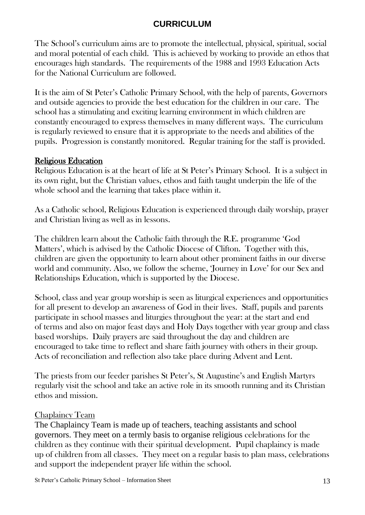# **CURRICULUM**

The School's curriculum aims are to promote the intellectual, physical, spiritual, social and moral potential of each child. This is achieved by working to provide an ethos that encourages high standards. The requirements of the 1988 and 1993 Education Acts for the National Curriculum are followed.

It is the aim of St Peter's Catholic Primary School, with the help of parents, Governors and outside agencies to provide the best education for the children in our care. The school has a stimulating and exciting learning environment in which children are constantly encouraged to express themselves in many different ways. The curriculum is regularly reviewed to ensure that it is appropriate to the needs and abilities of the pupils. Progression is constantly monitored. Regular training for the staff is provided.

#### Religious Education

Religious Education is at the heart of life at St Peter's Primary School. It is a subject in its own right, but the Christian values, ethos and faith taught underpin the life of the whole school and the learning that takes place within it.

As a Catholic school, Religious Education is experienced through daily worship, prayer and Christian living as well as in lessons.

The children learn about the Catholic faith through the R.E. programme 'God Matters', which is advised by the Catholic Diocese of Clifton. Together with this, children are given the opportunity to learn about other prominent faiths in our diverse world and community. Also, we follow the scheme, 'Journey in Love' for our Sex and Relationships Education, which is supported by the Diocese.

School, class and year group worship is seen as liturgical experiences and opportunities for all present to develop an awareness of God in their lives. Staff, pupils and parents participate in school masses and liturgies throughout the year: at the start and end of terms and also on major feast days and Holy Days together with year group and class based worships. Daily prayers are said throughout the day and children are encouraged to take time to reflect and share faith journey with others in their group. Acts of reconciliation and reflection also take place during Advent and Lent.

The priests from our feeder parishes St Peter's, St Augustine's and English Martyrs regularly visit the school and take an active role in its smooth running and its Christian ethos and mission.

#### Chaplaincy Team

The Chaplaincy Team is made up of teachers, teaching assistants and school governors. They meet on a termly basis to organise religious celebrations for the children as they continue with their spiritual development. Pupil chaplaincy is made up of children from all classes. They meet on a regular basis to plan mass, celebrations and support the independent prayer life within the school.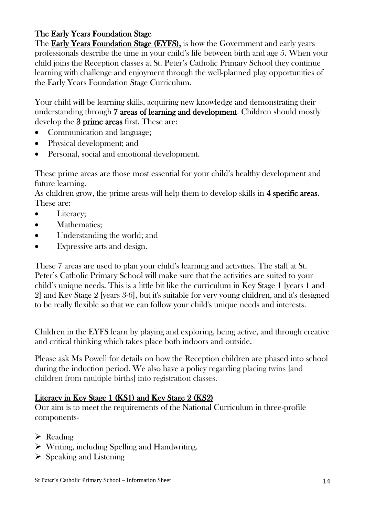# The Early Years Foundation Stage

The Early Years Foundation Stage (EYFS), is how the Government and early years professionals describe the time in your child's life between birth and age 5. When your child joins the Reception classes at St. Peter's Catholic Primary School they continue learning with challenge and enjoyment through the well-planned play opportunities of the Early Years Foundation Stage Curriculum.

Your child will be learning skills, acquiring new knowledge and demonstrating their understanding through 7 areas of learning and development. Children should mostly develop the 3 prime areas first. These are:

- Communication and language;
- Physical development; and
- Personal, social and emotional development.

These prime areas are those most essential for your child's healthy development and future learning.

As children grow, the prime areas will help them to develop skills in 4 specific areas. These are:

- Literacy;
- Mathematics:
- Understanding the world; and
- Expressive arts and design.

These 7 areas are used to plan your child's learning and activities. The staff at St. Peter's Catholic Primary School will make sure that the activities are suited to your child's unique needs. This is a little bit like the curriculum in Key Stage 1 [years 1 and 2] and Key Stage 2 [years 3-6], but it's suitable for very young children, and it's designed to be really flexible so that we can follow your child's unique needs and interests.

Children in the EYFS learn by playing and exploring, being active, and through creative and critical thinking which takes place both indoors and outside.

Please ask Ms Powell for details on how the Reception children are phased into school during the induction period. We also have a policy regarding placing twins [and children from multiple births] into registration classes.

# Literacy in Key Stage 1 (KS1) and Key Stage 2 (KS2)

Our aim is to meet the requirements of the National Curriculum in three-profile components-

- $\triangleright$  Reading
- Writing, including Spelling and Handwriting.
- $\triangleright$  Speaking and Listening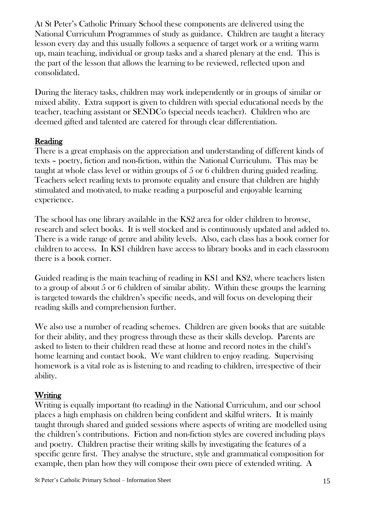At St Peter's Catholic Primary School these components are delivered using the National Curriculum Programmes of study as guidance. Children are taught a literacy lesson every day and this usually follows a sequence of target work or a writing warm up, main teaching, individual or group tasks and a shared plenary at the end. This is the part of the lesson that allows the learning to be reviewed, reflected upon and consolidated.

During the literacy tasks, children may work independently or in groups of similar or mixed ability. Extra support is given to children with special educational needs by the teacher, teaching assistant or SENDCo (special needs teacher). Children who are deemed gifted and talented are catered for through clear differentiation.

# Reading

There is a great emphasis on the appreciation and understanding of different kinds of texts – poetry, fiction and non-fiction, within the National Curriculum. This may be taught at whole class level or within groups of 5 or 6 children during guided reading. Teachers select reading texts to promote equality and ensure that children are highly stimulated and motivated, to make reading a purposeful and enjoyable learning experience.

The school has one library available in the KS2 area for older children to browse, research and select books. It is well stocked and is continuously updated and added to. There is a wide range of genre and ability levels. Also, each class has a book corner for children to access. In KS1 children have access to library books and in each classroom there is a book corner.

Guided reading is the main teaching of reading in KS1 and KS2, where teachers listen to a group of about 5 or 6 children of similar ability. Within these groups the learning is targeted towards the children's specific needs, and will focus on developing their reading skills and comprehension further.

We also use a number of reading schemes. Children are given books that are suitable for their ability, and they progress through these as their skills develop. Parents are asked to listen to their children read these at home and record notes in the child's home learning and contact book. We want children to enjoy reading. Supervising homework is a vital role as is listening to and reading to children, irrespective of their ability.

# Writing

Writing is equally important (to reading) in the National Curriculum, and our school places a high emphasis on children being confident and skilful writers. It is mainly taught through shared and guided sessions where aspects of writing are modelled using the children's contributions. Fiction and non-fiction styles are covered including plays and poetry. Children practise their writing skills by investigating the features of a specific genre first. They analyse the structure, style and grammatical composition for example, then plan how they will compose their own piece of extended writing. A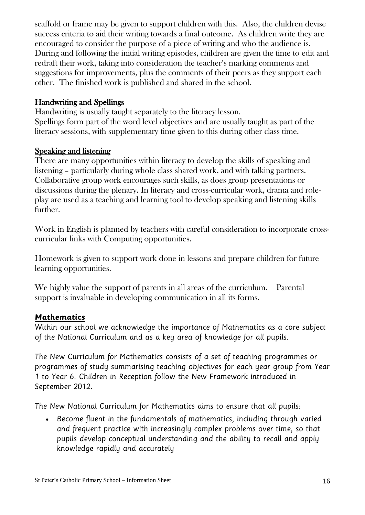scaffold or frame may be given to support children with this. Also, the children devise success criteria to aid their writing towards a final outcome. As children write they are encouraged to consider the purpose of a piece of writing and who the audience is. During and following the initial writing episodes, children are given the time to edit and redraft their work, taking into consideration the teacher's marking comments and suggestions for improvements, plus the comments of their peers as they support each other. The finished work is published and shared in the school.

#### Handwriting and Spellings

Handwriting is usually taught separately to the literacy lesson. Spellings form part of the word level objectives and are usually taught as part of the literacy sessions, with supplementary time given to this during other class time.

#### Speaking and listening

There are many opportunities within literacy to develop the skills of speaking and listening – particularly during whole class shared work, and with talking partners. Collaborative group work encourages such skills, as does group presentations or discussions during the plenary. In literacy and cross-curricular work, drama and roleplay are used as a teaching and learning tool to develop speaking and listening skills further.

Work in English is planned by teachers with careful consideration to incorporate crosscurricular links with Computing opportunities.

Homework is given to support work done in lessons and prepare children for future learning opportunities.

We highly value the support of parents in all areas of the curriculum. Parental support is invaluable in developing communication in all its forms.

# **Mathematics**

Within our school we acknowledge the importance of Mathematics as a core subject of the National Curriculum and as a key area of knowledge for all pupils.

The New Curriculum for Mathematics consists of a set of teaching programmes or programmes of study summarising teaching objectives for each year group from Year 1 to Year 6. Children in Reception follow the New Framework introduced in September 2012.

The New National Curriculum for Mathematics aims to ensure that all pupils:

 Become fluent in the fundamentals of mathematics, including through varied and frequent practice with increasingly complex problems over time, so that pupils develop conceptual understanding and the ability to recall and apply knowledge rapidly and accurately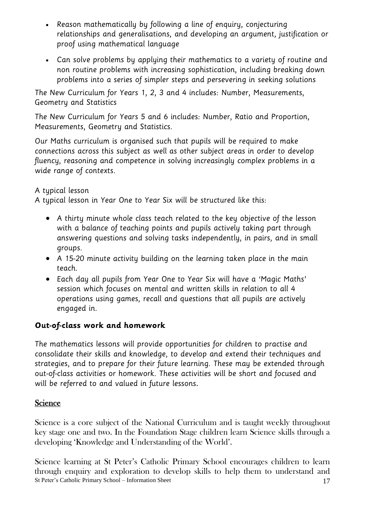- Reason mathematically by following a line of enguiry, conjecturing relationships and generalisations, and developing an argument, justification or proof using mathematical language
- Can solve problems by applying their mathematics to a variety of routine and non routine problems with increasing sophistication, including breaking down problems into a series of simpler steps and persevering in seeking solutions

The New Curriculum for Years 1, 2, 3 and 4 includes: Number, Measurements, Geometry and Statistics

The New Curriculum for Years 5 and 6 includes: Number, Ratio and Proportion, Measurements, Geometry and Statistics.

Our Maths curriculum is organised such that pupils will be required to make connections across this subject as well as other subject areas in order to develop fluency, reasoning and competence in solving increasingly complex problems in a wide range of contexts.

# A typical lesson

A typical lesson in Year One to Year Six will be structured like this:

- A thirty minute whole class teach related to the key objective of the lesson with a balance of teaching points and pupils actively taking part through answering questions and solving tasks independently, in pairs, and in small groups.
- A 15-20 minute activity building on the learning taken place in the main teach.
- Each day all pupils from Year One to Year Six will have a 'Magic Maths' session which focuses on mental and written skills in relation to all 4 operations using games, recall and questions that all pupils are actively engaged in.

# **Out-of-class work and homework**

The mathematics lessons will provide opportunities for children to practise and consolidate their skills and knowledge, to develop and extend their techniques and strategies, and to prepare for their future learning. These may be extended through out-of-class activities or homework. These activities will be short and focused and will be referred to and valued in future lessons.

# **Science**

Science is a core subject of the National Curriculum and is taught weekly throughout key stage one and two. In the Foundation Stage children learn Science skills through a developing 'Knowledge and Understanding of the World'.

St Peter's Catholic Primary School – Information Sheet 17 Science learning at St Peter's Catholic Primary School encourages children to learn through enquiry and exploration to develop skills to help them to understand and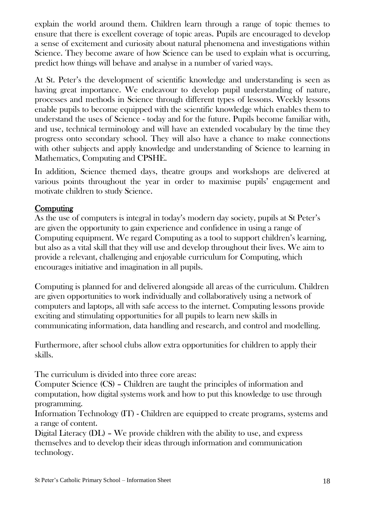explain the world around them. Children learn through a range of topic themes to ensure that there is excellent coverage of topic areas. Pupils are encouraged to develop a sense of excitement and curiosity about natural phenomena and investigations within Science. They become aware of how Science can be used to explain what is occurring, predict how things will behave and analyse in a number of varied ways.

At St. Peter's the development of scientific knowledge and understanding is seen as having great importance. We endeavour to develop pupil understanding of nature, processes and methods in Science through different types of lessons. Weekly lessons enable pupils to become equipped with the scientific knowledge which enables them to understand the uses of Science - today and for the future. Pupils become familiar with, and use, technical terminology and will have an extended vocabulary by the time they progress onto secondary school. They will also have a chance to make connections with other subjects and apply knowledge and understanding of Science to learning in Mathematics, Computing and CPSHE.

 In addition, Science themed days, theatre groups and workshops are delivered at various points throughout the year in order to maximise pupils' engagement and motivate children to study Science.

# **Computing**

As the use of computers is integral in today's modern day society, pupils at St Peter's are given the opportunity to gain experience and confidence in using a range of Computing equipment. We regard Computing as a tool to support children's learning, but also as a vital skill that they will use and develop throughout their lives. We aim to provide a relevant, challenging and enjoyable curriculum for Computing, which encourages initiative and imagination in all pupils.

Computing is planned for and delivered alongside all areas of the curriculum. Children are given opportunities to work individually and collaboratively using a network of computers and laptops, all with safe access to the internet. Computing lessons provide exciting and stimulating opportunities for all pupils to learn new skills in communicating information, data handling and research, and control and modelling.

Furthermore, after school clubs allow extra opportunities for children to apply their skills.

The curriculum is divided into three core areas:

Computer Science (CS) – Children are taught the principles of information and computation, how digital systems work and how to put this knowledge to use through programming.

Information Technology (IT) - Children are equipped to create programs, systems and a range of content.

Digital Literacy (DL) – We provide children with the ability to use, and express themselves and to develop their ideas through information and communication technology.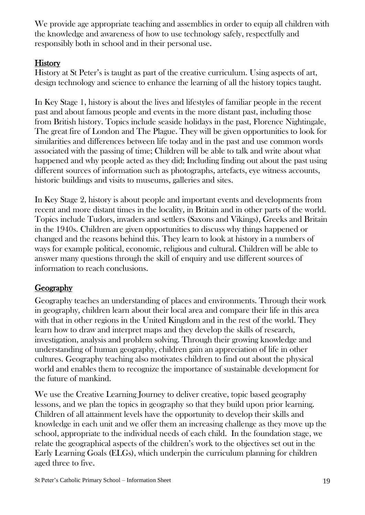We provide age appropriate teaching and assemblies in order to equip all children with the knowledge and awareness of how to use technology safely, respectfully and responsibly both in school and in their personal use.

# **History**

History at St Peter's is taught as part of the creative curriculum. Using aspects of art, design technology and science to enhance the learning of all the history topics taught.

In Key Stage 1, history is about the lives and lifestyles of familiar people in the recent past and about famous people and events in the more distant past, including those from British history. Topics include seaside holidays in the past, Florence Nightingale, The great fire of London and The Plague. They will be given opportunities to look for similarities and differences between life today and in the past and use common words associated with the passing of time; Children will be able to talk and write about what happened and why people acted as they did; Including finding out about the past using different sources of information such as photographs, artefacts, eye witness accounts, historic buildings and visits to museums, galleries and sites.

In Key Stage 2, history is about people and important events and developments from recent and more distant times in the locality, in Britain and in other parts of the world. Topics include Tudors, invaders and settlers (Saxons and Vikings), Greeks and Britain in the 1940s. Children are given opportunities to discuss why things happened or changed and the reasons behind this. They learn to look at history in a numbers of ways for example political, economic, religious and cultural. Children will be able to answer many questions through the skill of enquiry and use different sources of information to reach conclusions.

# Geography

Geography teaches an understanding of places and environments. Through their work in geography, children learn about their local area and compare their life in this area with that in other regions in the United Kingdom and in the rest of the world. They learn how to draw and interpret maps and they develop the skills of research, investigation, analysis and problem solving. Through their growing knowledge and understanding of human geography, children gain an appreciation of life in other cultures. Geography teaching also motivates children to find out about the physical world and enables them to recognize the importance of sustainable development for the future of mankind.

We use the Creative Learning Journey to deliver creative, topic based geography lessons, and we plan the topics in geography so that they build upon prior learning. Children of all attainment levels have the opportunity to develop their skills and knowledge in each unit and we offer them an increasing challenge as they move up the school, appropriate to the individual needs of each child. In the foundation stage, we relate the geographical aspects of the children's work to the objectives set out in the Early Learning Goals (ELGs), which underpin the curriculum planning for children aged three to five.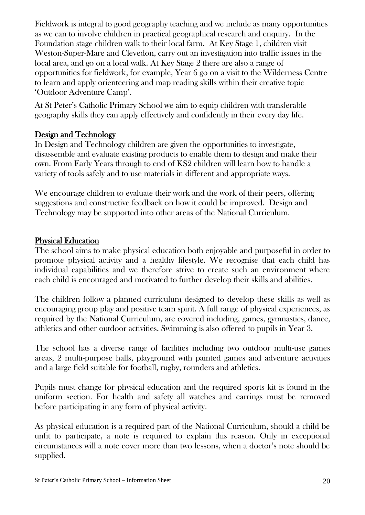Fieldwork is integral to good geography teaching and we include as many opportunities as we can to involve children in practical geographical research and enquiry. In the Foundation stage children walk to their local farm. At Key Stage 1, children visit Weston-Super-Mare and Clevedon, carry out an investigation into traffic issues in the local area, and go on a local walk. At Key Stage 2 there are also a range of opportunities for fieldwork, for example, Year 6 go on a visit to the Wilderness Centre to learn and apply orienteering and map reading skills within their creative topic 'Outdoor Adventure Camp'.

At St Peter's Catholic Primary School we aim to equip children with transferable geography skills they can apply effectively and confidently in their every day life.

#### Design and Technology

In Design and Technology children are given the opportunities to investigate, disassemble and evaluate existing products to enable them to design and make their own. From Early Years through to end of KS2 children will learn how to handle a variety of tools safely and to use materials in different and appropriate ways.

We encourage children to evaluate their work and the work of their peers, offering suggestions and constructive feedback on how it could be improved. Design and Technology may be supported into other areas of the National Curriculum.

#### Physical Education

The school aims to make physical education both enjoyable and purposeful in order to promote physical activity and a healthy lifestyle. We recognise that each child has individual capabilities and we therefore strive to create such an environment where each child is encouraged and motivated to further develop their skills and abilities.

The children follow a planned curriculum designed to develop these skills as well as encouraging group play and positive team spirit. A full range of physical experiences, as required by the National Curriculum, are covered including, games, gymnastics, dance, athletics and other outdoor activities. Swimming is also offered to pupils in Year 3.

The school has a diverse range of facilities including two outdoor multi-use games areas, 2 multi-purpose halls, playground with painted games and adventure activities and a large field suitable for football, rugby, rounders and athletics.

Pupils must change for physical education and the required sports kit is found in the uniform section. For health and safety all watches and earrings must be removed before participating in any form of physical activity.

As physical education is a required part of the National Curriculum, should a child be unfit to participate, a note is required to explain this reason. Only in exceptional circumstances will a note cover more than two lessons, when a doctor's note should be supplied.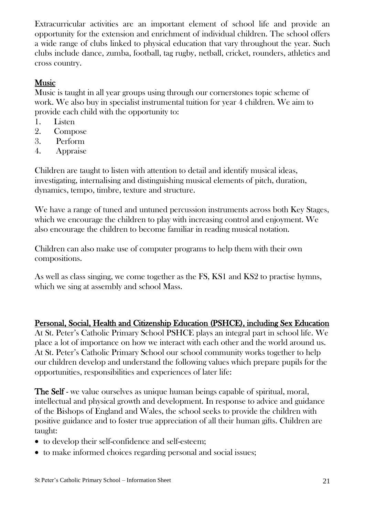Extracurricular activities are an important element of school life and provide an opportunity for the extension and enrichment of individual children. The school offers a wide range of clubs linked to physical education that vary throughout the year. Such clubs include dance, zumba, football, tag rugby, netball, cricket, rounders, athletics and cross country.

# Music

Music is taught in all year groups using through our cornerstones topic scheme of work. We also buy in specialist instrumental tuition for year 4 children. We aim to provide each child with the opportunity to:

- 1. Listen
- 2. Compose
- 3. Perform
- 4. Appraise

Children are taught to listen with attention to detail and identify musical ideas, investigating, internalising and distinguishing musical elements of pitch, duration, dynamics, tempo, timbre, texture and structure.

We have a range of tuned and untuned percussion instruments across both Key Stages, which we encourage the children to play with increasing control and enjoyment. We also encourage the children to become familiar in reading musical notation.

Children can also make use of computer programs to help them with their own compositions.

As well as class singing, we come together as the FS, KS1 and KS2 to practise hymns, which we sing at assembly and school Mass.

# Personal, Social, Health and Citizenship Education (PSHCE), including Sex Education

At St. Peter's Catholic Primary School PSHCE plays an integral part in school life. We place a lot of importance on how we interact with each other and the world around us. At St. Peter's Catholic Primary School our school community works together to help our children develop and understand the following values which prepare pupils for the opportunities, responsibilities and experiences of later life:

The Self - we value ourselves as unique human beings capable of spiritual, moral, intellectual and physical growth and development. In response to advice and guidance of the Bishops of England and Wales, the school seeks to provide the children with positive guidance and to foster true appreciation of all their human gifts. Children are taught:

- to develop their self-confidence and self-esteem;
- to make informed choices regarding personal and social issues;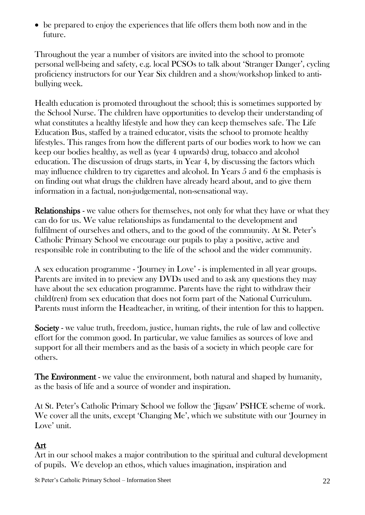be prepared to enjoy the experiences that life offers them both now and in the future.

Throughout the year a number of visitors are invited into the school to promote personal well-being and safety, e.g. local PCSOs to talk about 'Stranger Danger', cycling proficiency instructors for our Year Six children and a show/workshop linked to antibullying week.

Health education is promoted throughout the school; this is sometimes supported by the School Nurse. The children have opportunities to develop their understanding of what constitutes a healthy lifestyle and how they can keep themselves safe. The Life Education Bus, staffed by a trained educator, visits the school to promote healthy lifestyles. This ranges from how the different parts of our bodies work to how we can keep our bodies healthy, as well as (year 4 upwards) drug, tobacco and alcohol education. The discussion of drugs starts, in Year 4, by discussing the factors which may influence children to try cigarettes and alcohol. In Years 5 and 6 the emphasis is on finding out what drugs the children have already heard about, and to give them information in a factual, non-judgemental, non-sensational way.

Relationships - we value others for themselves, not only for what they have or what they can do for us. We value relationships as fundamental to the development and fulfilment of ourselves and others, and to the good of the community. At St. Peter's Catholic Primary School we encourage our pupils to play a positive, active and responsible role in contributing to the life of the school and the wider community.

A sex education programme - 'Journey in Love' - is implemented in all year groups. Parents are invited in to preview any DVDs used and to ask any questions they may have about the sex education programme. Parents have the right to withdraw their child(ren) from sex education that does not form part of the National Curriculum. Parents must inform the Headteacher, in writing, of their intention for this to happen.

Society - we value truth, freedom, justice, human rights, the rule of law and collective effort for the common good. In particular, we value families as sources of love and support for all their members and as the basis of a society in which people care for others.

The Environment - we value the environment, both natural and shaped by humanity, as the basis of life and a source of wonder and inspiration.

At St. Peter's Catholic Primary School we follow the 'Jigsaw' PSHCE scheme of work. We cover all the units, except 'Changing Me', which we substitute with our 'Journey in Love' unit.

# Art

Art in our school makes a major contribution to the spiritual and cultural development of pupils. We develop an ethos, which values imagination, inspiration and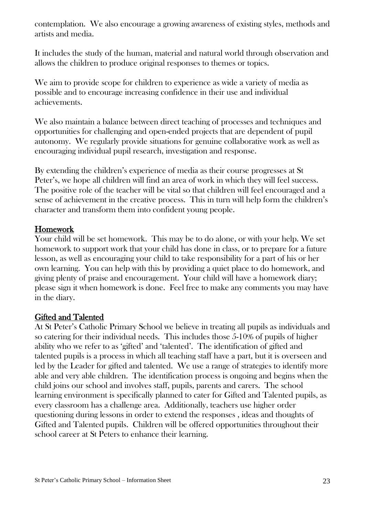contemplation. We also encourage a growing awareness of existing styles, methods and artists and media.

It includes the study of the human, material and natural world through observation and allows the children to produce original responses to themes or topics.

We aim to provide scope for children to experience as wide a variety of media as possible and to encourage increasing confidence in their use and individual achievements.

We also maintain a balance between direct teaching of processes and techniques and opportunities for challenging and open-ended projects that are dependent of pupil autonomy. We regularly provide situations for genuine collaborative work as well as encouraging individual pupil research, investigation and response.

By extending the children's experience of media as their course progresses at St Peter's, we hope all children will find an area of work in which they will feel success. The positive role of the teacher will be vital so that children will feel encouraged and a sense of achievement in the creative process. This in turn will help form the children's character and transform them into confident young people.

#### Homework

Your child will be set homework. This may be to do alone, or with your help. We set homework to support work that your child has done in class, or to prepare for a future lesson, as well as encouraging your child to take responsibility for a part of his or her own learning. You can help with this by providing a quiet place to do homework, and giving plenty of praise and encouragement. Your child will have a homework diary; please sign it when homework is done. Feel free to make any comments you may have in the diary.

# Gifted and Talented

At St Peter's Catholic Primary School we believe in treating all pupils as individuals and so catering for their individual needs. This includes those 5-10% of pupils of higher ability who we refer to as 'gifted' and 'talented'. The identification of gifted and talented pupils is a process in which all teaching staff have a part, but it is overseen and led by the Leader for gifted and talented. We use a range of strategies to identify more able and very able children. The identification process is ongoing and begins when the child joins our school and involves staff, pupils, parents and carers. The school learning environment is specifically planned to cater for Gifted and Talented pupils, as every classroom has a challenge area. Additionally, teachers use higher order questioning during lessons in order to extend the responses , ideas and thoughts of Gifted and Talented pupils. Children will be offered opportunities throughout their school career at St Peters to enhance their learning.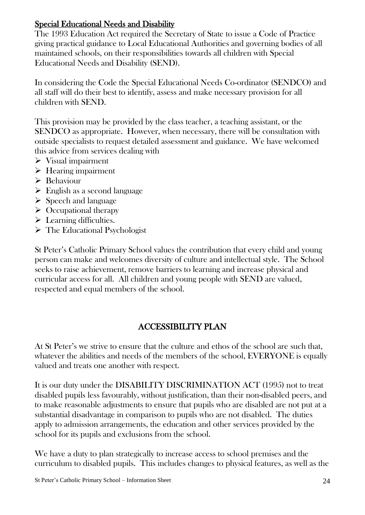# Special Educational Needs and Disability

The 1993 Education Act required the Secretary of State to issue a Code of Practice giving practical guidance to Local Educational Authorities and governing bodies of all maintained schools, on their responsibilities towards all children with Special Educational Needs and Disability (SEND).

In considering the Code the Special Educational Needs Co-ordinator (SENDCO) and all staff will do their best to identify, assess and make necessary provision for all children with SEND.

This provision may be provided by the class teacher, a teaching assistant, or the SENDCO as appropriate. However, when necessary, there will be consultation with outside specialists to request detailed assessment and guidance. We have welcomed this advice from services dealing with

- $\triangleright$  Visual impairment
- $\triangleright$  Hearing impairment
- $\triangleright$  Behaviour
- $\triangleright$  English as a second language
- $\triangleright$  Speech and language
- $\triangleright$  Occupational therapy
- $\blacktriangleright$  Learning difficulties.
- > The Educational Psychologist

St Peter's Catholic Primary School values the contribution that every child and young person can make and welcomes diversity of culture and intellectual style. The School seeks to raise achievement, remove barriers to learning and increase physical and curricular access for all. All children and young people with SEND are valued, respected and equal members of the school.

# ACCESSIBILITY PLAN

At St Peter's we strive to ensure that the culture and ethos of the school are such that, whatever the abilities and needs of the members of the school, EVERYONE is equally valued and treats one another with respect.

It is our duty under the DISABILITY DISCRIMINATION ACT (1995) not to treat disabled pupils less favourably, without justification, than their non-disabled peers, and to make reasonable adjustments to ensure that pupils who are disabled are not put at a substantial disadvantage in comparison to pupils who are not disabled. The duties apply to admission arrangements, the education and other services provided by the school for its pupils and exclusions from the school.

We have a duty to plan strategically to increase access to school premises and the curriculum to disabled pupils. This includes changes to physical features, as well as the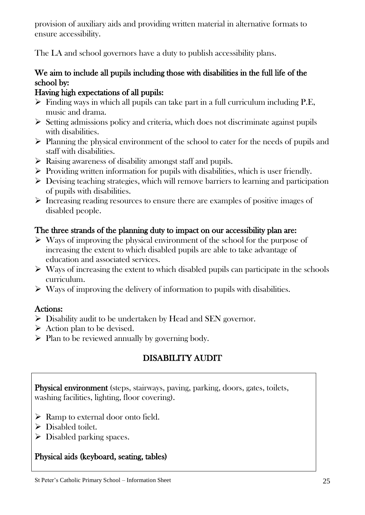provision of auxiliary aids and providing written material in alternative formats to ensure accessibility.

The LA and school governors have a duty to publish accessibility plans.

# We aim to include all pupils including those with disabilities in the full life of the school by:

# Having high expectations of all pupils:

- $\triangleright$  Finding ways in which all pupils can take part in a full curriculum including P.E. music and drama.
- $\triangleright$  Setting admissions policy and criteria, which does not discriminate against pupils with disabilities.
- $\triangleright$  Planning the physical environment of the school to cater for the needs of pupils and staff with disabilities.
- $\triangleright$  Raising awareness of disability amongst staff and pupils.
- $\triangleright$  Providing written information for pupils with disabilities, which is user friendly.
- $\triangleright$  Devising teaching strategies, which will remove barriers to learning and participation of pupils with disabilities.
- $\triangleright$  Increasing reading resources to ensure there are examples of positive images of disabled people.

# The three strands of the planning duty to impact on our accessibility plan are:

- $\triangleright$  Ways of improving the physical environment of the school for the purpose of increasing the extent to which disabled pupils are able to take advantage of education and associated services.
- $\triangleright$  Ways of increasing the extent to which disabled pupils can participate in the schools curriculum.
- $\triangleright$  Ways of improving the delivery of information to pupils with disabilities.

# Actions:

- $\triangleright$  Disability audit to be undertaken by Head and SEN governor.
- $\triangleright$  Action plan to be devised.
- $\triangleright$  Plan to be reviewed annually by governing body.

# DISABILITY AUDIT

Physical environment (steps, stairways, paving, parking, doors, gates, toilets, washing facilities, lighting, floor covering).

- $\triangleright$  Ramp to external door onto field.
- $\triangleright$  Disabled toilet.
- $\triangleright$  Disabled parking spaces.

# Physical aids (keyboard, seating, tables)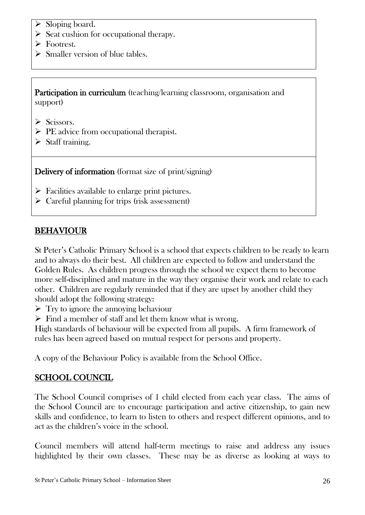- $\triangleright$  Sloping board.
- $\triangleright$  Seat cushion for occupational therapy.
- > Footrest.
- $\triangleright$  Smaller version of blue tables.

Participation in curriculum (teaching/learning classroom, organisation and support)

- $\triangleright$  Scissors.
- $\triangleright$  PE advice from occupational therapist.
- $\triangleright$  Staff training.

Delivery of information (format size of print/signing)

- $\triangleright$  Facilities available to enlarge print pictures.
- $\triangleright$  Careful planning for trips (risk assessment)

#### BEHAVIOUR

St Peter's Catholic Primary School is a school that expects children to be ready to learn and to always do their best. All children are expected to follow and understand the Golden Rules. As children progress through the school we expect them to become more self-disciplined and mature in the way they organise their work and relate to each other. Children are regularly reminded that if they are upset by another child they should adopt the following strategy:

 $\triangleright$  Try to ignore the annoying behaviour

 $\triangleright$  Find a member of staff and let them know what is wrong.

High standards of behaviour will be expected from all pupils. A firm framework of rules has been agreed based on mutual respect for persons and property.

A copy of the Behaviour Policy is available from the School Office.

# SCHOOL COUNCIL

The School Council comprises of 1 child elected from each year class. The aims of the School Council are to encourage participation and active citizenship, to gain new skills and confidence, to learn to listen to others and respect different opinions, and to act as the children's voice in the school.

Council members will attend half-term meetings to raise and address any issues highlighted by their own classes. These may be as diverse as looking at ways to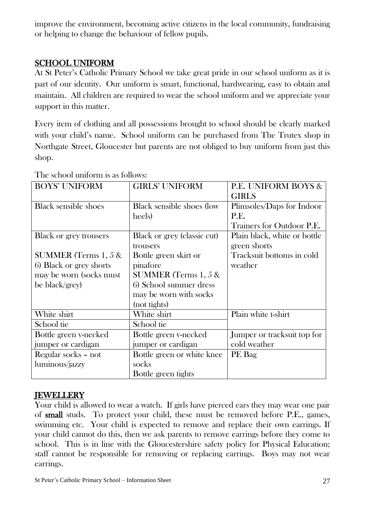improve the environment, becoming active citizens in the local community, fundraising or helping to change the behaviour of fellow pupils.

# SCHOOL UNIFORM

At St Peter's Catholic Primary School we take great pride in our school uniform as it is part of our identity. Our uniform is smart, functional, hardwearing, easy to obtain and maintain. All children are required to wear the school uniform and we appreciate your support in this matter.

Every item of clothing and all possessions brought to school should be clearly marked with your child's name. School uniform can be purchased from The Trutex shop in Northgate Street, Gloucester but parents are not obliged to buy uniform from just this shop.

| <b>BOYS' UNIFORM</b>          | <b>GIRLS' UNIFORM</b>       | <b>P.E. UNIFORM BOYS &amp;</b> |
|-------------------------------|-----------------------------|--------------------------------|
|                               |                             | <b>GIRLS</b>                   |
| <b>Black sensible shoes</b>   | Black sensible shoes (low   | Plimsoles/Daps for Indoor      |
|                               | heels)                      | P.E.                           |
|                               |                             | Trainers for Outdoor P.E.      |
| <b>Black or grey trousers</b> | Black or grey (classic cut) | Plain black, white or bottle   |
|                               | trousers                    | green shorts                   |
| SUMMER (Terms $1, 5$ &        | Bottle green skirt or       | Tracksuit bottoms in cold      |
| 6) Black or grey shorts       | pinafore                    | weather                        |
| may be worn (socks must       | SUMMER (Terms $1, 5$ &      |                                |
| be black/grey)                | 6) School summer dress      |                                |
|                               | may be worn with socks      |                                |
|                               | (not tights)                |                                |
| White shirt                   | White shirt                 | Plain white t-shirt            |
| School tie                    | School tie                  |                                |
| Bottle green v-necked         | Bottle green v-necked       | Jumper or tracksuit top for    |
| jumper or cardigan            | jumper or cardigan          | cold weather                   |
| Regular socks - not           | Bottle green or white knee  | PE Bag                         |
| luminous/jazzy                | socks                       |                                |
|                               | Bottle green tights         |                                |

The school uniform is as follows:

# **IEWELLERY**

Your child is allowed to wear a watch. If girls have pierced ears they may wear one pair of small studs. To protect your child, these must be removed before P.E., games, swimming etc. Your child is expected to remove and replace their own earrings. If your child cannot do this, then we ask parents to remove earrings before they come to school. This is in line with the Gloucestershire safety policy for Physical Education; staff cannot be responsible for removing or replacing earrings. Boys may not wear earrings.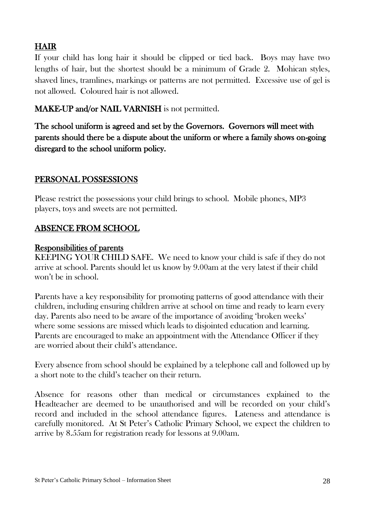# HAIR

If your child has long hair it should be clipped or tied back. Boys may have two lengths of hair, but the shortest should be a minimum of Grade 2. Mohican styles, shaved lines, tramlines, markings or patterns are not permitted. Excessive use of gel is not allowed. Coloured hair is not allowed.

# MAKE-UP and/or NAIL VARNISH is not permitted.

The school uniform is agreed and set by the Governors. Governors will meet with parents should there be a dispute about the uniform or where a family shows on-going disregard to the school uniform policy.

# PERSONAL POSSESSIONS

Please restrict the possessions your child brings to school. Mobile phones, MP3 players, toys and sweets are not permitted.

# ABSENCE FROM SCHOOL

#### Responsibilities of parents

KEEPING YOUR CHILD SAFE. We need to know your child is safe if they do not arrive at school. Parents should let us know by 9.00am at the very latest if their child won't be in school.

Parents have a key responsibility for promoting patterns of good attendance with their children, including ensuring children arrive at school on time and ready to learn every day. Parents also need to be aware of the importance of avoiding 'broken weeks' where some sessions are missed which leads to disjointed education and learning. Parents are encouraged to make an appointment with the Attendance Officer if they are worried about their child's attendance.

Every absence from school should be explained by a telephone call and followed up by a short note to the child's teacher on their return.

Absence for reasons other than medical or circumstances explained to the Headteacher are deemed to be unauthorised and will be recorded on your child's record and included in the school attendance figures. Lateness and attendance is carefully monitored. At St Peter's Catholic Primary School, we expect the children to arrive by 8.55am for registration ready for lessons at 9.00am.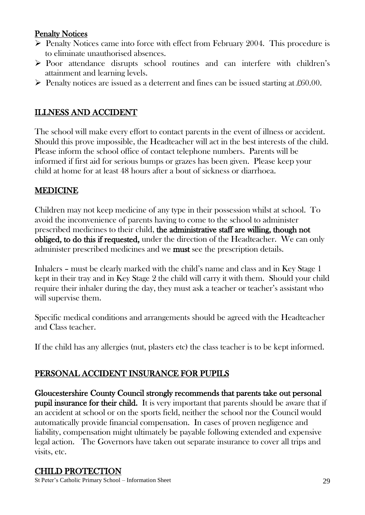# Penalty Notices

- $\triangleright$  Penalty Notices came into force with effect from February 2004. This procedure is to eliminate unauthorised absences.
- Poor attendance disrupts school routines and can interfere with children's attainment and learning levels.
- $\triangleright$  Penalty notices are issued as a deterrent and fines can be issued starting at £60.00.

# ILLNESS AND ACCIDENT

The school will make every effort to contact parents in the event of illness or accident. Should this prove impossible, the Headteacher will act in the best interests of the child. Please inform the school office of contact telephone numbers. Parents will be informed if first aid for serious bumps or grazes has been given. Please keep your child at home for at least 48 hours after a bout of sickness or diarrhoea.

# MEDICINE

Children may not keep medicine of any type in their possession whilst at school. To avoid the inconvenience of parents having to come to the school to administer prescribed medicines to their child, the administrative staff are willing, though not obliged, to do this if requested, under the direction of the Headteacher. We can only administer prescribed medicines and we must see the prescription details.

Inhalers – must be clearly marked with the child's name and class and in Key Stage 1 kept in their tray and in Key Stage 2 the child will carry it with them. Should your child require their inhaler during the day, they must ask a teacher or teacher's assistant who will supervise them.

Specific medical conditions and arrangements should be agreed with the Headteacher and Class teacher.

If the child has any allergies (nut, plasters etc) the class teacher is to be kept informed.

# PERSONAL ACCIDENT INSURANCE FOR PUPILS

Gloucestershire County Council strongly recommends that parents take out personal pupil insurance for their child. It is very important that parents should be aware that if an accident at school or on the sports field, neither the school nor the Council would automatically provide financial compensation. In cases of proven negligence and liability, compensation might ultimately be payable following extended and expensive legal action. The Governors have taken out separate insurance to cover all trips and visits, etc.

# CHILD PROTECTION

St Peter's Catholic Primary School – Information Sheet 29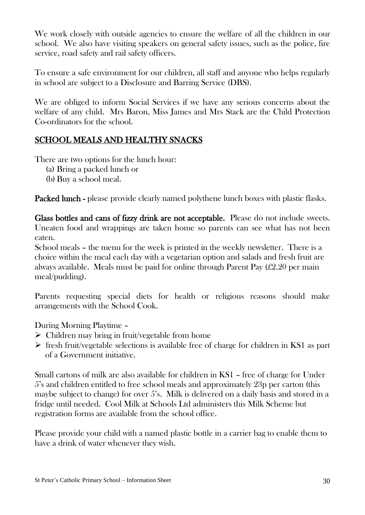We work closely with outside agencies to ensure the welfare of all the children in our school. We also have visiting speakers on general safety issues, such as the police, fire service, road safety and rail safety officers.

To ensure a safe environment for our children, all staff and anyone who helps regularly in school are subject to a Disclosure and Barring Service (DBS).

We are obliged to inform Social Services if we have any serious concerns about the welfare of any child. Mrs Baron, Miss James and Mrs Stack are the Child Protection Co-ordinators for the school.

# SCHOOL MEALS AND HEALTHY SNACKS

There are two options for the lunch hour:

- (a) Bring a packed lunch or
- (b) Buy a school meal.

Packed lunch - please provide clearly named polythene lunch boxes with plastic flasks.

Glass bottles and cans of fizzy drink are not acceptable. Please do not include sweets. Uneaten food and wrappings are taken home so parents can see what has not been eaten.

School meals – the menu for the week is printed in the weekly newsletter. There is a choice within the meal each day with a vegetarian option and salads and fresh fruit are always available. Meals must be paid for online through Parent Pay (£2.20 per main meal/pudding).

Parents requesting special diets for health or religious reasons should make arrangements with the School Cook.

During Morning Playtime –

- $\triangleright$  Children may bring in fruit/vegetable from home
- $\triangleright$  fresh fruit/vegetable selections is available free of charge for children in KS1 as part of a Government initiative.

Small cartons of milk are also available for children in KS1 – free of charge for Under 5's and children entitled to free school meals and approximately 23p per carton (this maybe subject to change) for over 5's. Milk is delivered on a daily basis and stored in a fridge until needed. Cool Milk at Schools Ltd administers this Milk Scheme but registration forms are available from the school office.

Please provide your child with a named plastic bottle in a carrier bag to enable them to have a drink of water whenever they wish.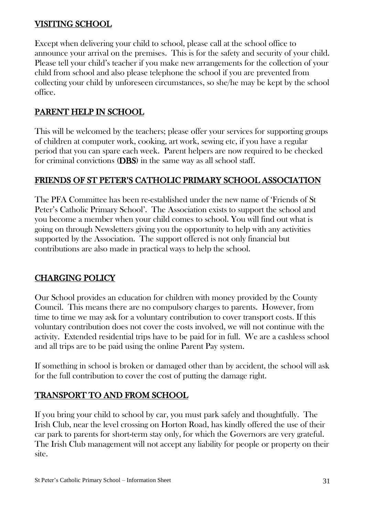# VISITING SCHOOL

Except when delivering your child to school, please call at the school office to announce your arrival on the premises. This is for the safety and security of your child. Please tell your child's teacher if you make new arrangements for the collection of your child from school and also please telephone the school if you are prevented from collecting your child by unforeseen circumstances, so she/he may be kept by the school office.

## PARENT HELP IN SCHOOL

This will be welcomed by the teachers; please offer your services for supporting groups of children at computer work, cooking, art work, sewing etc, if you have a regular period that you can spare each week. Parent helpers are now required to be checked for criminal convictions (DBS) in the same way as all school staff.

# FRIENDS OF ST PETER'S CATHOLIC PRIMARY SCHOOL ASSOCIATION

The PFA Committee has been re-established under the new name of 'Friends of St Peter's Catholic Primary School'. The Association exists to support the school and you become a member when your child comes to school. You will find out what is going on through Newsletters giving you the opportunity to help with any activities supported by the Association. The support offered is not only financial but contributions are also made in practical ways to help the school.

# CHARGING POLICY

Our School provides an education for children with money provided by the County Council. This means there are no compulsory charges to parents. However, from time to time we may ask for a voluntary contribution to cover transport costs. If this voluntary contribution does not cover the costs involved, we will not continue with the activity. Extended residential trips have to be paid for in full. We are a cashless school and all trips are to be paid using the online Parent Pay system.

If something in school is broken or damaged other than by accident, the school will ask for the full contribution to cover the cost of putting the damage right.

# TRANSPORT TO AND FROM SCHOOL

If you bring your child to school by car, you must park safely and thoughtfully. The Irish Club, near the level crossing on Horton Road, has kindly offered the use of their car park to parents for short-term stay only, for which the Governors are very grateful. The Irish Club management will not accept any liability for people or property on their site.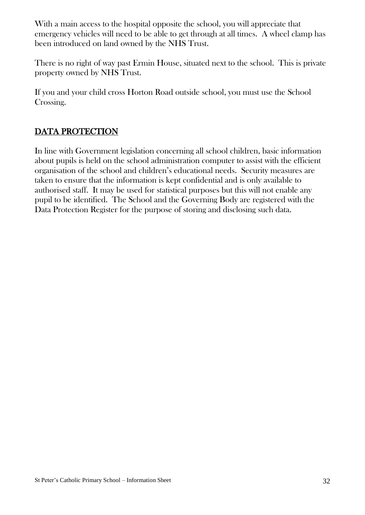With a main access to the hospital opposite the school, you will appreciate that emergency vehicles will need to be able to get through at all times. A wheel clamp has been introduced on land owned by the NHS Trust.

There is no right of way past Ermin House, situated next to the school. This is private property owned by NHS Trust.

If you and your child cross Horton Road outside school, you must use the School Crossing.

# DATA PROTECTION

In line with Government legislation concerning all school children, basic information about pupils is held on the school administration computer to assist with the efficient organisation of the school and children's educational needs. Security measures are taken to ensure that the information is kept confidential and is only available to authorised staff. It may be used for statistical purposes but this will not enable any pupil to be identified. The School and the Governing Body are registered with the Data Protection Register for the purpose of storing and disclosing such data.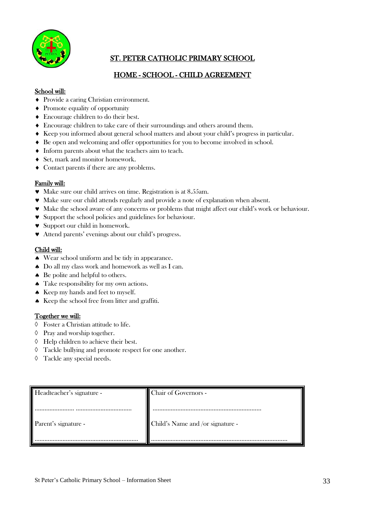

## ST. PETER CATHOLIC PRIMARY SCHOOL

#### HOME - SCHOOL - CHILD AGREEMENT

#### School will:

- Provide a caring Christian environment.
- Promote equality of opportunity
- Encourage children to do their best.
- Encourage children to take care of their surroundings and others around them.
- Keep you informed about general school matters and about your child's progress in particular.
- Be open and welcoming and offer opportunities for you to become involved in school.
- $\blacklozenge$  Inform parents about what the teachers aim to teach.
- Set, mark and monitor homework.
- Contact parents if there are any problems.

#### Family will:

- Make sure our child arrives on time. Registration is at 8.55am.
- Make sure our child attends regularly and provide a note of explanation when absent.
- Make the school aware of any concerns or problems that might affect our child's work or behaviour.
- Support the school policies and guidelines for behaviour.
- **v** Support our child in homework.
- Attend parents' evenings about our child's progress.

#### Child will:

- Wear school uniform and be tidy in appearance.
- $\triangle$  Do all my class work and homework as well as I can.
- Be polite and helpful to others.
- Take responsibility for my own actions.
- $\triangle$  Keep my hands and feet to myself.
- $\triangle$  Keep the school free from litter and graffiti.

#### Together we will:

- $\Diamond$  Foster a Christian attitude to life.
- $\Diamond$  Pray and worship together.
- $\Diamond$  Help children to achieve their best.
- Tackle bullying and promote respect for one another.
- $\Diamond$  Tackle any special needs.

| Headteacher's signature - | Chair of Governors -             |
|---------------------------|----------------------------------|
| Parent's signature -      | Child's Name and /or signature - |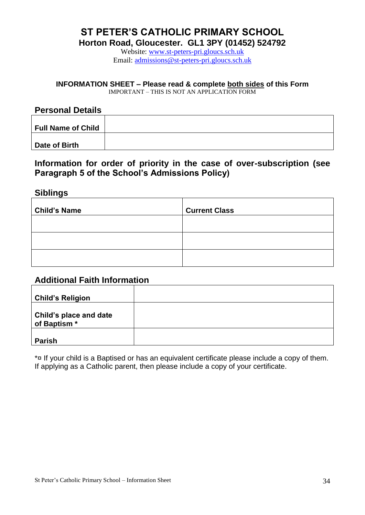# **ST PETER'S CATHOLIC PRIMARY SCHOOL**

**Horton Road, Gloucester. GL1 3PY (01452) 524792**

Website: [www.st-peters-pri.gloucs.sch.uk](http://www.st-peters-pri.gloucs.sch.uk/) Email: [admissions@st-peters-pri.gloucs.sch.uk](mailto:admissions@st-peters-pri.gloucs.sch.uk)

#### **INFORMATION SHEET – Please read & complete both sides of this Form**

IMPORTANT – THIS IS NOT AN APPLICATION FORM

#### **Personal Details**

| <b>Full Name of Child</b> |  |
|---------------------------|--|
|                           |  |
| Date of Birth             |  |

#### **Information for order of priority in the case of over-subscription (see Paragraph 5 of the School's Admissions Policy)**

#### **Siblings**

| <b>Child's Name</b> | <b>Current Class</b> |
|---------------------|----------------------|
|                     |                      |
|                     |                      |
|                     |                      |

#### **Additional Faith Information**

| <b>Child's Religion</b>                |  |
|----------------------------------------|--|
| Child's place and date<br>of Baptism * |  |
| <b>Parish</b>                          |  |

\*¤ If your child is a Baptised or has an equivalent certificate please include a copy of them. If applying as a Catholic parent, then please include a copy of your certificate.